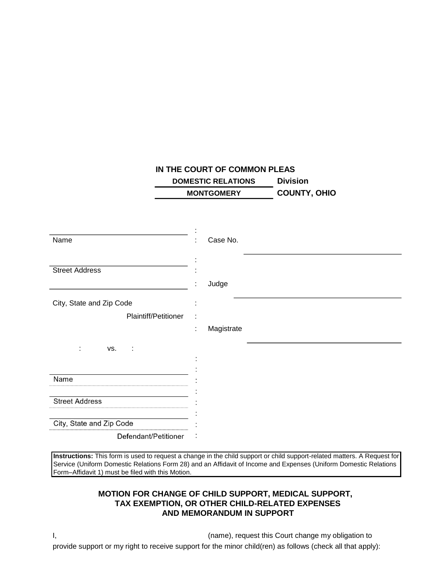## **IN THE COURT OF COMMON PLEAS DOMESTIC RELATIONS Division MONTGOMERY COUNTY, OHIO**

| Name                     | Case No.         |
|--------------------------|------------------|
| <b>Street Address</b>    | Judge<br>٠<br>×. |
| City, State and Zip Code |                  |
| Plaintiff/Petitioner     |                  |
|                          | Magistrate<br>÷  |
| VS.<br>÷<br>÷            |                  |
|                          |                  |
| Name                     |                  |
|                          |                  |
| <b>Street Address</b>    |                  |
| City, State and Zip Code |                  |
| Defendant/Petitioner     |                  |

**Instructions:** This form is used to request a change in the child support or child support-related matters. A Request for Service (Uniform Domestic Relations Form 28) and an Affidavit of Income and Expenses (Uniform Domestic Relations Form–Affidavit 1) must be filed with this Motion.

## **MOTION FOR CHANGE OF CHILD SUPPORT, MEDICAL SUPPORT, TAX EXEMPTION, OR OTHER CHILD-RELATED EXPENSES AND MEMORANDUM IN SUPPORT**

I, (name), request this Court change my obligation to provide support or my right to receive support for the minor child(ren) as follows (check all that apply):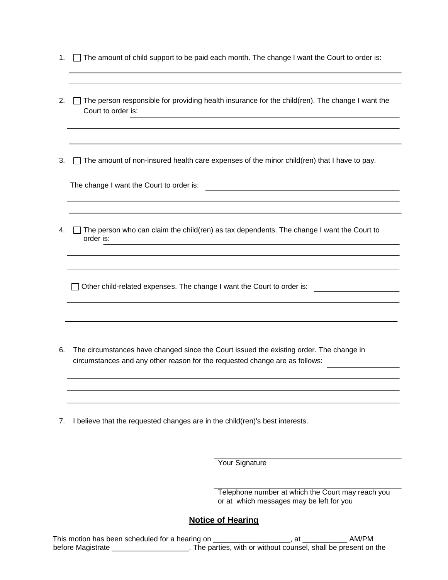- 1.  $\Box$  The amount of child support to be paid each month. The change I want the Court to order is:
- 2. The person responsible for providing health insurance for the child(ren). The change I want the Court to order is:

3.  $\Box$  The amount of non-insured health care expenses of the minor child(ren) that I have to pay.

The change I want the Court to order is:  $\frac{1}{2}$ 

4.  $\Box$  The person who can claim the child(ren) as tax dependents. The change I want the Court to order is:

Other child-related expenses. The change I want the Court to order is:

- 6. The circumstances have changed since the Court issued the existing order. The change in circumstances and any other reason for the requested change are as follows:
- 7. I believe that the requested changes are in the child(ren)'s best interests.

**Your Signature** 

Telephone number at which the Court may reach you or at which messages may be left for you

## **Notice of Hearing**

This motion has been scheduled for a hearing on \_\_\_\_\_\_\_\_\_\_\_\_\_\_\_\_\_\_\_, at \_\_\_\_\_\_\_\_\_\_\_ AM/PM before Magistrate \_\_\_\_\_\_\_\_\_\_\_\_\_\_\_\_\_\_\_\_\_. The parties, with or without counsel, shall be present on the